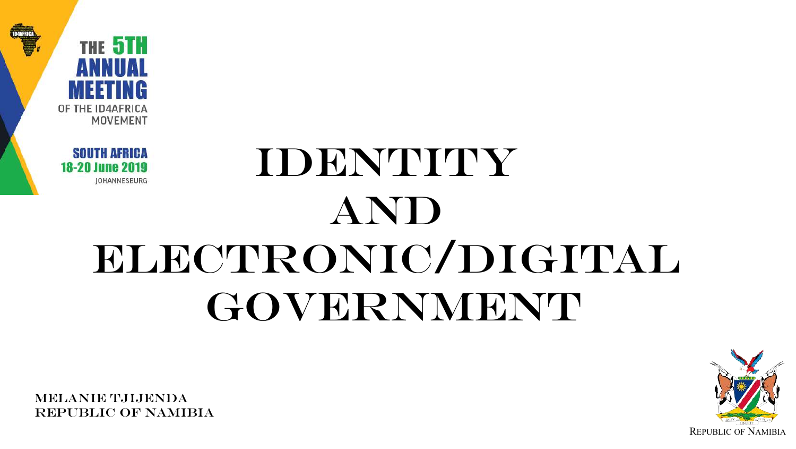



# IDENTITY and ELECTRONIC/DIGITAL GOVERNMENT



Melanie Tjijenda Republic of Namibia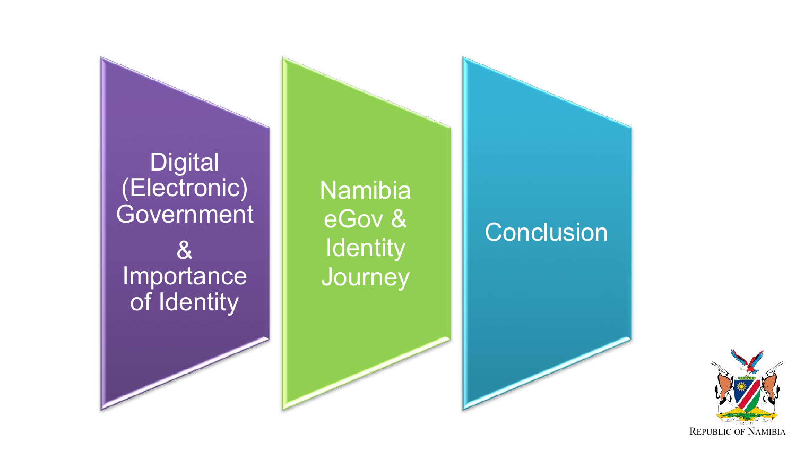**Digital** (Electronic) **Government** & Importance of Identity

Namibia eGov & **Identity Journey** 

**Conclusion** 

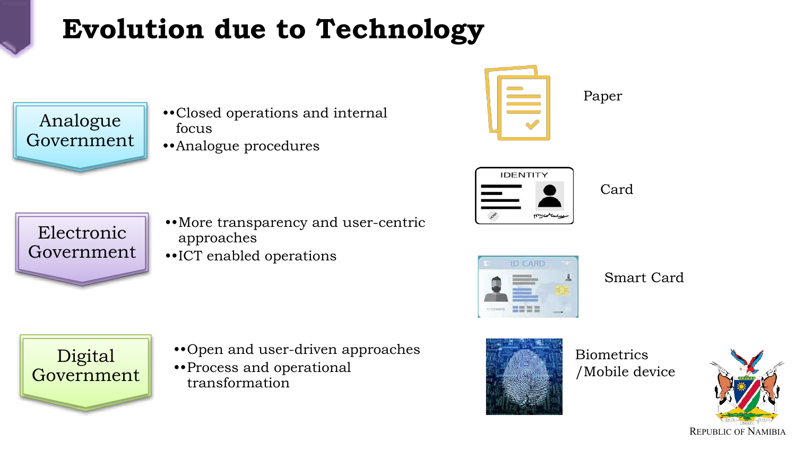## **Evolution due to Technology**



- ••Closed operations and internal focus
- ••Analogue procedures

- ••More transparency and user-centric approaches
- ••ICT enabled operations

**ID CARD** 



Paper

Card



- ••Open and user-driven approaches
- ••Process and operational transformation



**IDENTITY** 

**Biometrics** /Mobile device



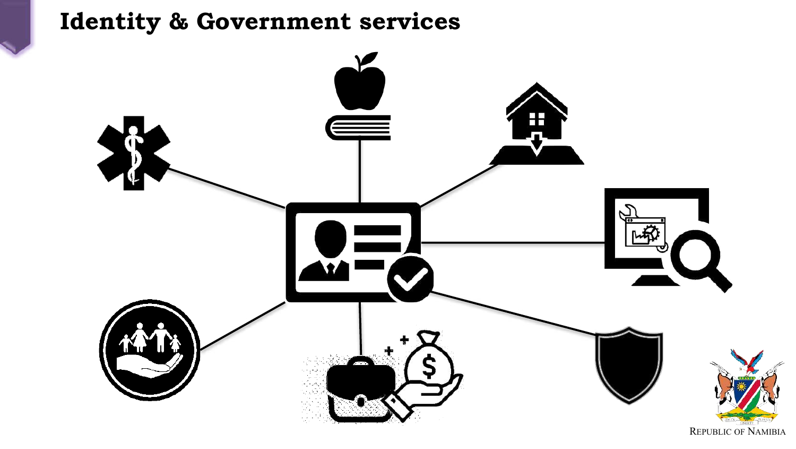### **Identity & Government services**

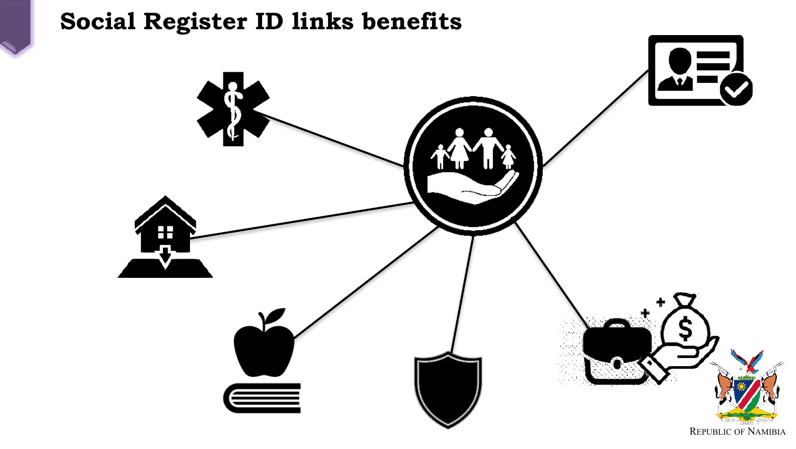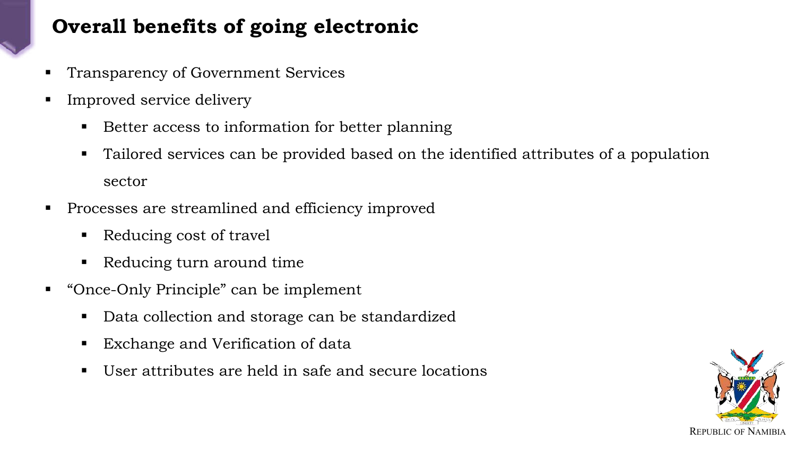#### **Overall benefits of going electronic**

- § Transparency of Government Services
- Improved service delivery
	- Better access to information for better planning
	- Tailored services can be provided based on the identified attributes of a population sector
- Processes are streamlined and efficiency improved
	- § Reducing cost of travel
	- Reducing turn around time
- "Once-Only Principle" can be implement
	- Data collection and storage can be standardized
	- Exchange and Verification of data
	- User attributes are held in safe and secure locations

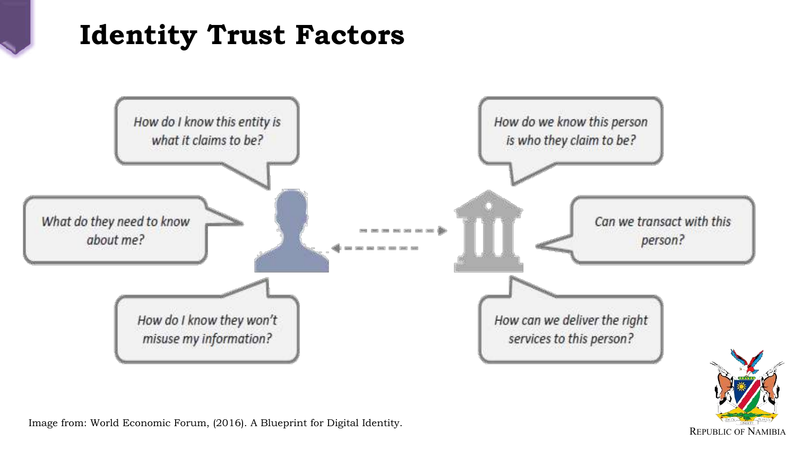## **Identity Trust Factors**



Image from: World Economic Forum, (2016). A Blueprint for Digital Identity.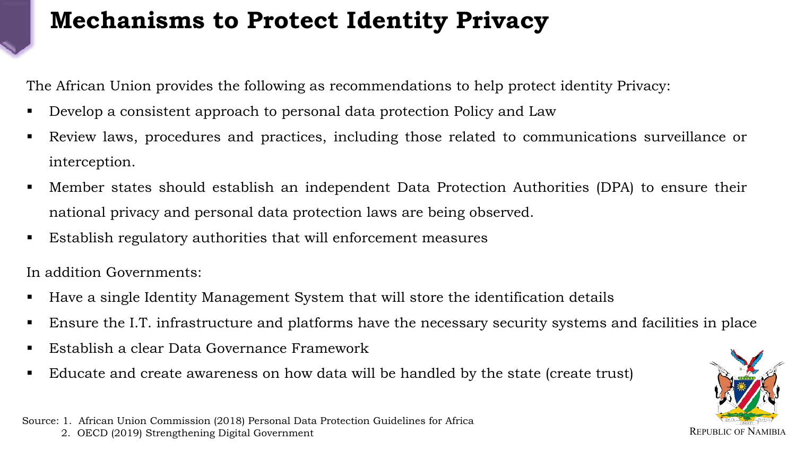### **Mechanisms to Protect Identity Privacy**

The African Union provides the following as recommendations to help protect identity Privacy:

- Develop a consistent approach to personal data protection Policy and Law
- Review laws, procedures and practices, including those related to communications surveillance or interception.
- Member states should establish an independent Data Protection Authorities (DPA) to ensure their national privacy and personal data protection laws are being observed.
- Establish regulatory authorities that will enforcement measures

In addition Governments:

- Have a single Identity Management System that will store the identification details
- Ensure the I.T. infrastructure and platforms have the necessary security systems and facilities in place
- Establish a clear Data Governance Framework
- Educate and create awareness on how data will be handled by the state (create trust)



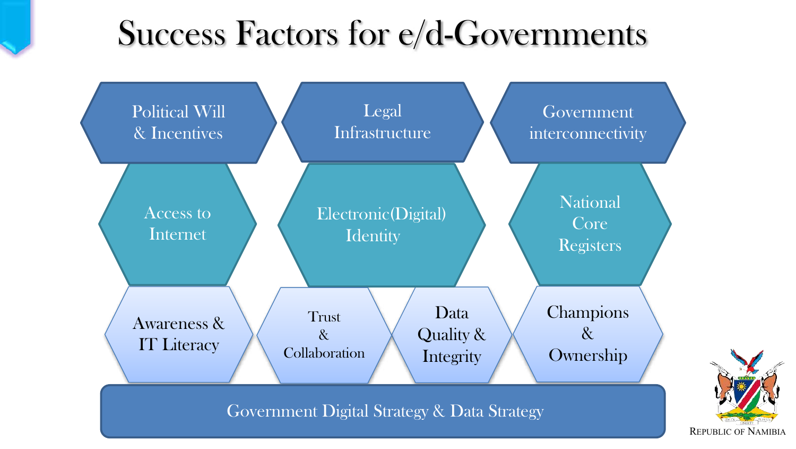## Success Factors for e/d-Governments

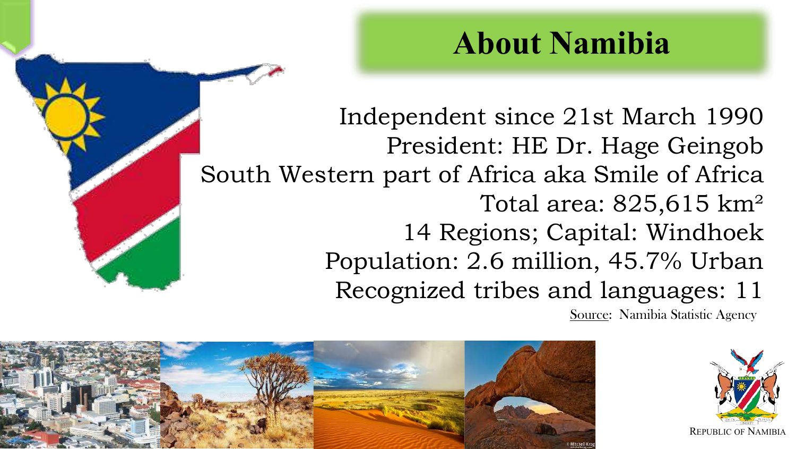## **About Namibia**

Independent since 21st March 1990 President: HE Dr. Hage Geingob South Western part of Africa aka Smile of Africa Total area: 825,615 km² 14 Regions; Capital: Windhoek Population: 2.6 million, 45.7% Urban Recognized tribes and languages: 11 Source: Namibia Statistic Agency



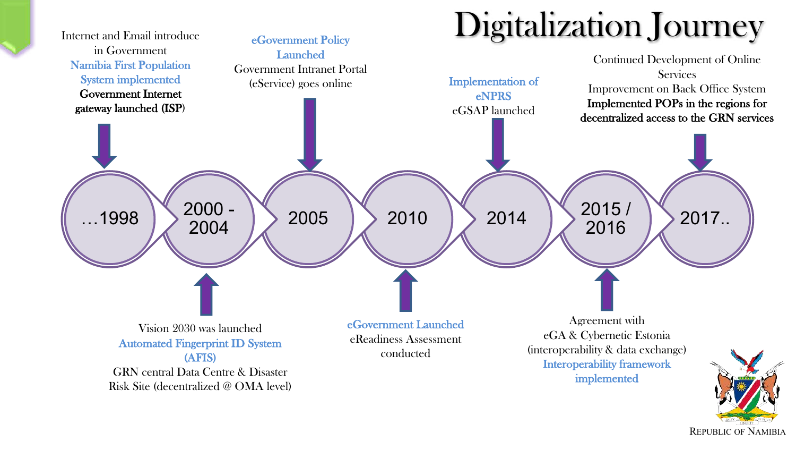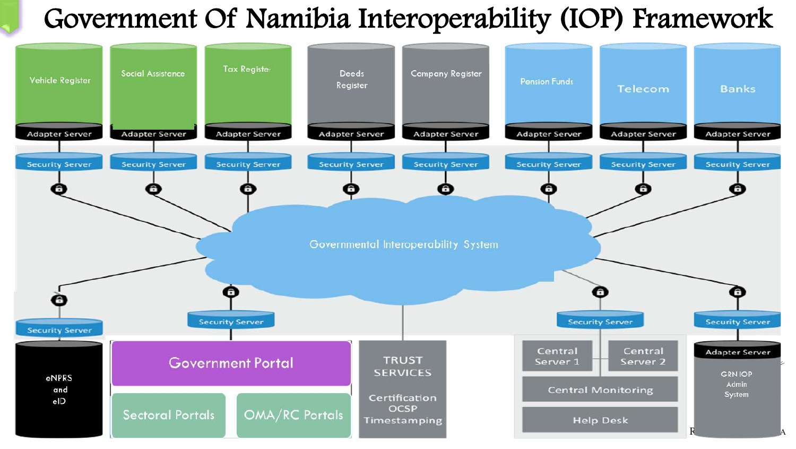### Government Of Namibia Interoperability (IOP) Framework

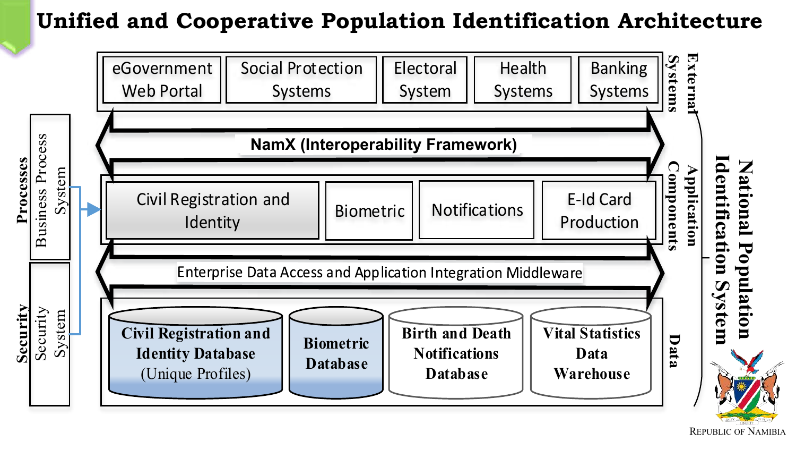#### **Unified and Cooperative Population Identification Architecture**

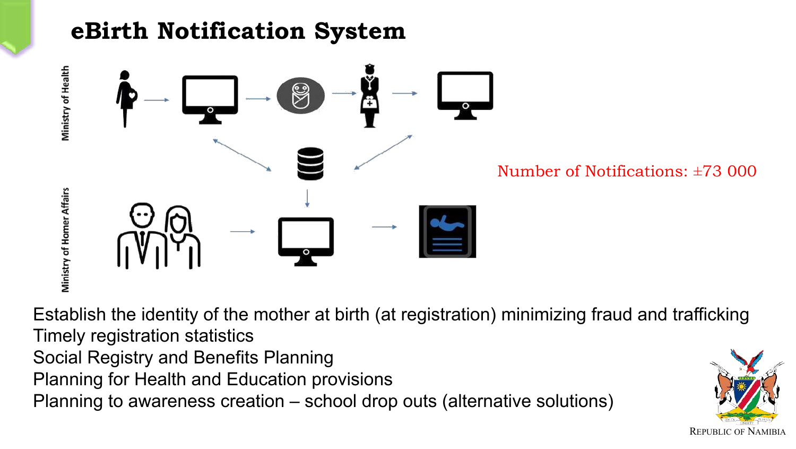#### **eBirth Notification System**

**Ministry of Health** 



Establish the identity of the mother at birth (at registration) minimizing fraud and trafficking Timely registration statistics Social Registry and Benefits Planning Planning for Health and Education provisions Planning to awareness creation – school drop outs (alternative solutions)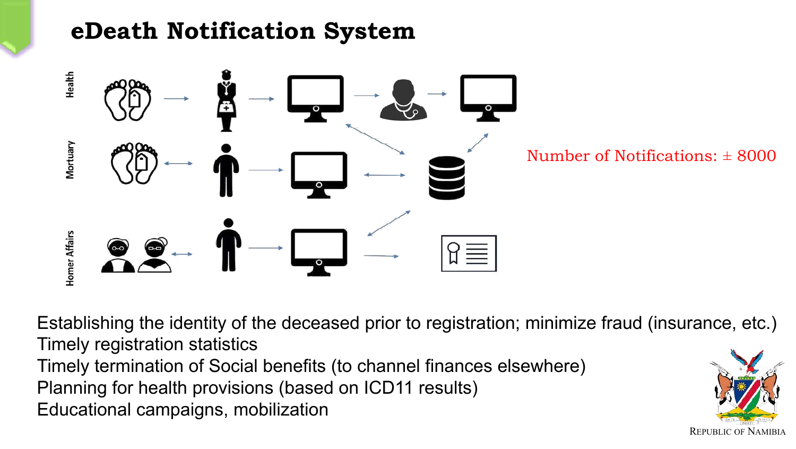#### **eDeath Notification System**



Establishing the identity of the deceased prior to registration; minimize fraud (insurance, etc.) Timely registration statistics Timely termination of Social benefits (to channel finances elsewhere) Planning for health provisions (based on ICD11 results) Educational campaigns, mobilization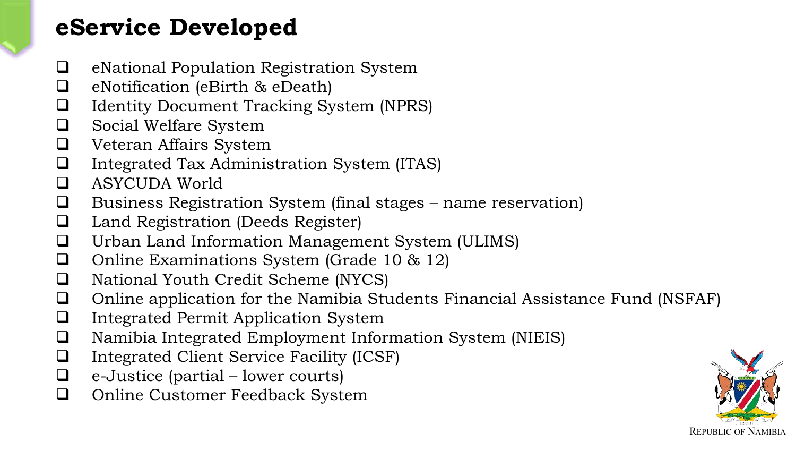### **eService Developed**

- $\Box$  eNational Population Registration System
- $\Box$  eNotification (eBirth & eDeath)
- $\Box$  Identity Document Tracking System (NPRS)
- $\Box$  Social Welfare System
- $\Box$  Veteran Affairs System
- $\Box$  Integrated Tax Administration System (ITAS)
- **Q** ASYCUDA World
- $\Box$  Business Registration System (final stages name reservation)
- $\Box$  Land Registration (Deeds Register)
- **Q** Urban Land Information Management System (ULIMS)
- **Q** Online Examinations System (Grade 10  $\&$  12)
- $\Box$  National Youth Credit Scheme (NYCS)
- **Q** Online application for the Namibia Students Financial Assistance Fund (NSFAF)
- **Q** Integrated Permit Application System
- $\Box$  Namibia Integrated Employment Information System (NIEIS)
- q Integrated Client Service Facility (ICSF)
- $\Box$  e-Justice (partial lower courts)
- $\Box$  Online Customer Feedback System

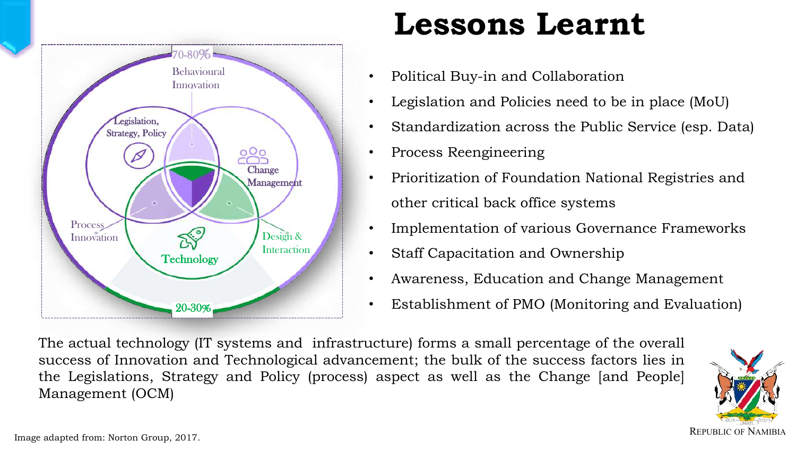

## **Lessons Learnt**

- Political Buy-in and Collaboration
- Legislation and Policies need to be in place (MoU)
- Standardization across the Public Service (esp. Data)
- Process Reengineering
- Prioritization of Foundation National Registries and other critical back office systems
- Implementation of various Governance Frameworks
- Staff Capacitation and Ownership
- Awareness, Education and Change Management
- Establishment of PMO (Monitoring and Evaluation)

The actual technology (IT systems and infrastructure) forms a small percentage of the overall success of Innovation and Technological advancement; the bulk of the success factors lies in the Legislations, Strategy and Policy (process) aspect as well as the Change [and People] Management (OCM)

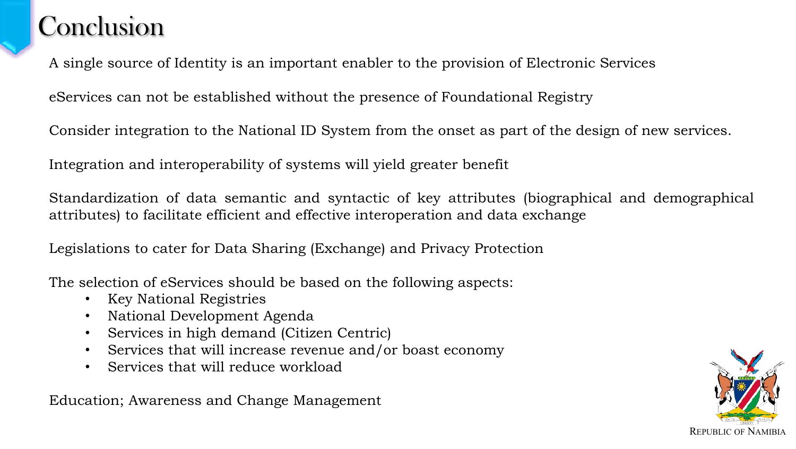## **Conclusion**

A single source of Identity is an important enabler to the provision of Electronic Services

eServices can not be established without the presence of Foundational Registry

Consider integration to the National ID System from the onset as part of the design of new services.

Integration and interoperability of systems will yield greater benefit

Standardization of data semantic and syntactic of key attributes (biographical and demographical attributes) to facilitate efficient and effective interoperation and data exchange

Legislations to cater for Data Sharing (Exchange) and Privacy Protection

The selection of eServices should be based on the following aspects:

- Key National Registries
- National Development Agenda
- Services in high demand (Citizen Centric)
- Services that will increase revenue and/or boast economy
- Services that will reduce workload

Education; Awareness and Change Management